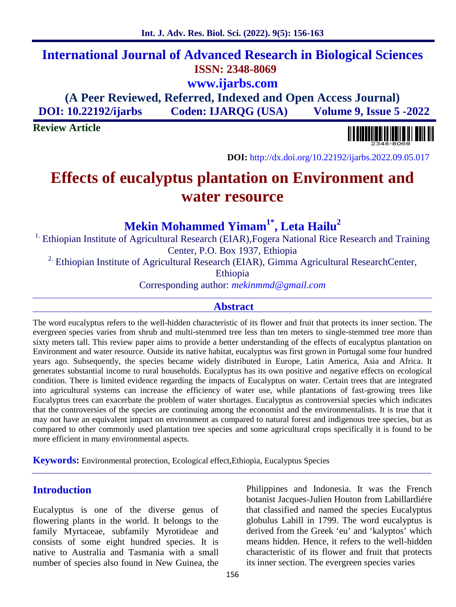## **International Journal of Advanced Research in Biological Sciences ISSN: 2348-8069 www.ijarbs.com**

**(A Peer Reviewed, Referred, Indexed and Open Access Journal) DOI: 10.22192/ijarbs Coden: IJARQG (USA) Volume 9, Issue 5 -2022**

**Review Article**

**DOI:** http://dx.doi.org/10.22192/ijarbs.2022.09.05.017

# **Effects of eucalyptus plantation on Environment and water resource**

## **Mekin Mohammed Yimam1\* , Leta Hailu<sup>2</sup>**

<sup>1.</sup> Ethiopian Institute of Agricultural Research (EIAR), Fogera National Rice Research and Training Center, P.O. Box 1937, Ethiopia

<sup>2.</sup> Ethiopian Institute of Agricultural Research (EIAR), Gimma Agricultural ResearchCenter,

Ethiopia

Corresponding author: *mekinmmd@gmail.com*

## **Abstract**

The word eucalyptus refers to the well-hidden characteristic of its flower and fruit that protects its inner section. The evergreen species varies from shrub and multi-stemmed tree less than ten meters to single-stemmed tree more than sixty meters tall. This review paper aims to provide a better understanding of the effects of eucalyptus plantation on Environment and water resource. Outside its native habitat, eucalyptus was first grown in Portugal some four hundred years ago. Subsequently, the species became widely distributed in Europe, Latin America, Asia and Africa. It generates substantial income to rural households. Eucalyptus has its own positive and negative effects on ecological condition. There is limited evidence regarding the impacts of Eucalyptus on water. Certain trees that are integrated into agricultural systems can increase the efficiency of water use, while plantations of fast-growing trees like Eucalyptus trees can exacerbate the problem of water shortages. Eucalyptus as controversial species which indicates that the controversies of the species are continuing among the economist and the environmentalists. It is true that it may not have an equivalent impact on environment as compared to natural forest and indigenous tree species, but as compared to other commonly used plantation tree species and some agricultural crops specifically it is found to be more efficient in many environmental aspects.

**Keywords:** Environmental protection, Ecological effect,Ethiopia, Eucalyptus Species

## **Introduction**

Eucalyptus is one of the diverse genus of flowering plants in the world. It belongs to the family Myrtaceae, subfamily Myrotideae and consists of some eight hundred species. It is native to Australia and Tasmania with a small number of species also found in New Guinea, the

Philippines and Indonesia. It was the French botanist Jacques-Julien Houton from Labillardiére that classified and named the species Eucalyptus globulus Labill in 1799. The word eucalyptus is derived from the Greek 'eu' and 'kalyptos' which means hidden. Hence, it refers to the well-hidden characteristic of its flower and fruit that protects its inner section. The evergreen species varies

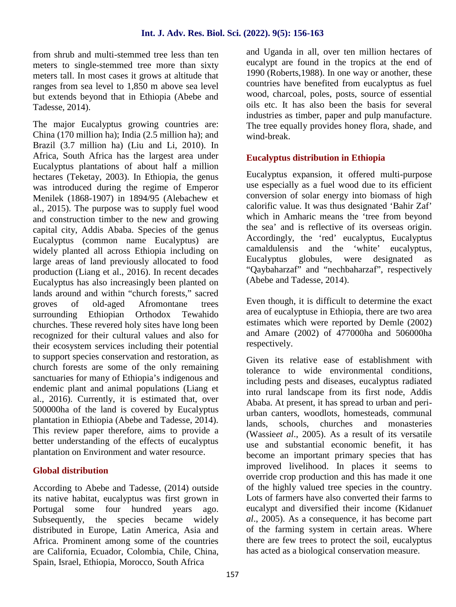from shrub and multi-stemmed tree less than ten meters to single-stemmed tree more than sixty meters tall. In most cases it grows at altitude that ranges from sea level to 1,850 m above sea level but extends beyond that in Ethiopia (Abebe and Tadesse, 2014).

The major Eucalyptus growing countries are: China (170 million ha); India (2.5 million ha); and Brazil (3.7 million ha) (Liu and Li, 2010). In Africa, South Africa has the largest area under Eucalyptus plantations of about half a million hectares (Teketay, 2003). In Ethiopia, the genus was introduced during the regime of Emperor Menilek (1868-1907) in 1894/95 (Alebachew et al., 2015). The purpose was to supply fuel wood and construction timber to the new and growing capital city, Addis Ababa. Species of the genus Eucalyptus (common name Eucalyptus) are widely planted all across Ethiopia including on camaldulens<br>large areas of land previously allocated to food Eucalyptus large areas of land previously allocated to food production (Liang et al., 2016). In recent decades Eucalyptus has also increasingly been planted on lands around and within "church forests," sacred groves of old-aged Afromontane trees surrounding Ethiopian Orthodox Tewahido churches. These revered holy sites have long been recognized for their cultural values and also for their ecosystem services including their potential to support species conservation and restoration, as church forests are some of the only remaining sanctuaries for many of Ethiopia's indigenous and endemic plant and animal populations (Liang et al., 2016). Currently, it is estimated that, over 500000ha of the land is covered by Eucalyptus plantation in Ethiopia (Abebe and Tadesse, 2014). This review paper therefore, aims to provide a better understanding of the effects of eucalyptus plantation on Environment and water resource.

## **Global distribution**

According to Abebe and Tadesse, (2014) outside its native habitat, eucalyptus was first grown in Portugal some four hundred years ago.<br>Subsequently, the species became widely Subsequently, the species became widely distributed in Europe, Latin America, Asia and Africa. Prominent among some of the countries are California, Ecuador, Colombia, Chile, China, Spain, Israel, Ethiopia, Morocco, South Africa

and Uganda in all, over ten million hectares of eucalypt are found in the tropics at the end of 1990 (Roberts,1988). In one way or another, these countries have benefited from eucalyptus as fuel wood, charcoal, poles, posts, source of essential oils etc. It has also been the basis for several industries as timber, paper and pulp manufacture. The tree equally provides honey flora, shade, and wind-break.

## **Eucalyptus distribution in Ethiopia**

Eucalyptus expansion, it offered multi-purpose use especially as a fuel wood due to its efficient conversion of solar energy into biomass of high calorific value. It was thus designated 'Bahir Zaf' which in Amharic means the 'tree from beyond the sea' and is reflective of its overseas origin. Accordingly, the 'red' eucalyptus, Eucalyptus camaldulensis and the 'white' eucalyptus, globules, were designated as "Qaybaharzaf" and "nechbaharzaf", respectively (Abebe and Tadesse, 2014).

Even though, it is difficult to determine the exact area of eucalyptuse in Ethiopia, there are two area estimates which were reported by Demle (2002) and Amare (2002) of 477000ha and 506000ha respectively.

Given its relative ease of establishment with tolerance to wide environmental conditions, including pests and diseases, eucalyptus radiated into rural landscape from its first node, Addis Ababa. At present, it has spread to urban and peri urban canters, woodlots, homesteads, communal lands, schools, churches and monasteries (Wassie*et al*., 2005). As a result of its versatile use and substantial economic benefit, it has become an important primary species that has improved livelihood. In places it seems to override crop production and this has made it one of the highly valued tree species in the country. Lots of farmers have also converted their farms to eucalypt and diversified their income (Kidanu*et al*., 2005). As a consequence, it has become part of the farming system in certain areas. Where there are few trees to protect the soil, eucalyptus has acted as a biological conservation measure.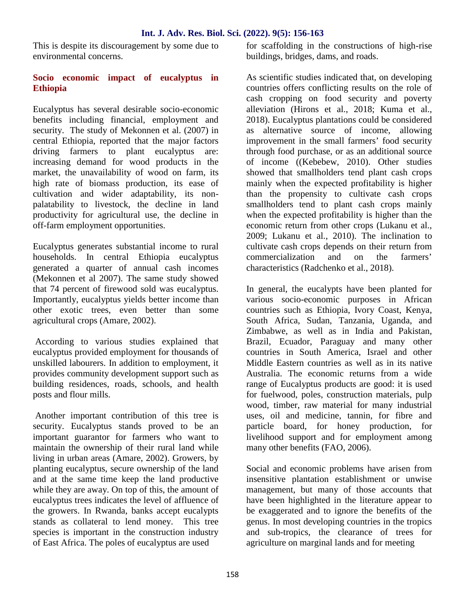This is despite its discouragement by some due to environmental concerns.

## **Socio economic impact of eucalyptus in Ethiopia**

Eucalyptus has several desirable socio-economic benefits including financial, employment and security. The study of Mekonnen et al. (2007) in central Ethiopia, reported that the major factors driving farmers to plant eucalyptus are: increasing demand for wood products in the market, the unavailability of wood on farm, its high rate of biomass production, its ease of cultivation and wider adaptability, its non palatability to livestock, the decline in land productivity for agricultural use, the decline in off-farm employment opportunities.

Eucalyptus generates substantial income to rural households. In central Ethiopia eucalyptus generated a quarter of annual cash incomes (Mekonnen et al 2007). The same study showed that 74 percent of firewood sold was eucalyptus. Importantly, eucalyptus yields better income than other exotic trees, even better than some agricultural crops (Amare, 2002).

According to various studies explained that eucalyptus provided employment for thousands of unskilled labourers. In addition to employment, it provides community development support such as building residences, roads, schools, and health posts and flour mills.

Another important contribution of this tree is security. Eucalyptus stands proved to be an important guarantor for farmers who want to maintain the ownership of their rural land while living in urban areas (Amare, 2002). Growers, by planting eucalyptus, secure ownership of the land and at the same time keep the land productive while they are away. On top of this, the amount of eucalyptus trees indicates the level of affluence of the growers. In Rwanda, banks accept eucalypts stands as collateral to lend money. This tree species is important in the construction industry of East Africa. The poles of eucalyptus are used

for scaffolding in the constructions of high-rise buildings, bridges, dams, and roads.

As scientific studies indicated that, on developing countries offers conflicting results on the role of cash cropping on food security and poverty alleviation (Hirons et al., 2018; Kuma et al., 2018). Eucalyptus plantations could be considered as alternative source of income, allowing improvement in the small farmers' food security through food purchase, or as an additional source of income ((Kebebew, 2010). Other studies showed that smallholders tend plant cash crops mainly when the expected profitability is higher than the propensity to cultivate cash crops smallholders tend to plant cash crops mainly when the expected profitability is higher than the economic return from other crops (Lukanu et al., 2009; Lukanu et al., 2010). The inclination to cultivate cash crops depends on their return from commercialization and on the farmers' characteristics (Radchenko et al., 2018).

In general, the eucalypts have been planted for various socio-economic purposes in African countries such as Ethiopia, Ivory Coast, Kenya, South Africa, Sudan, Tanzania, Uganda, and Zimbabwe, as well as in India and Pakistan, Brazil, Ecuador, Paraguay and many other countries in South America, Israel and other Middle Eastern countries as well as in its native Australia. The economic returns from a wide range of Eucalyptus products are good: it is used for fuelwood, poles, construction materials, pulp wood, timber, raw material for many industrial uses, oil and medicine, tannin, for fibre and particle board, for honey production, for livelihood support and for employment among many other benefits (FAO, 2006).

Social and economic problems have arisen from insensitive plantation establishment or unwise management, but many of those accounts that have been highlighted in the literature appear to be exaggerated and to ignore the benefits of the genus. In most developing countries in the tropics and sub-tropics, the clearance of trees for agriculture on marginal lands and for meeting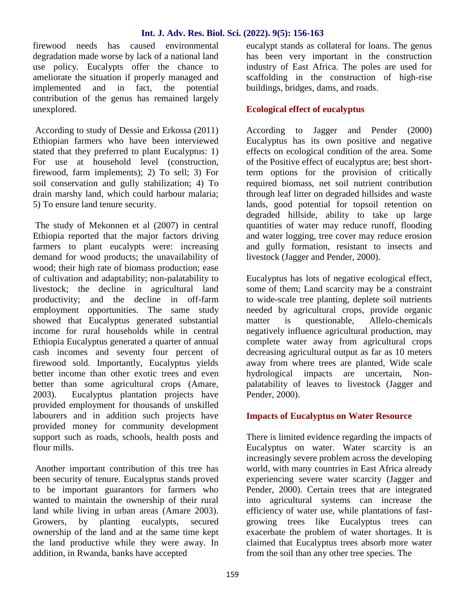#### **Int. J. Adv. Res. Biol. Sci. (2022). 9(5): 156-163**

firewood needs has caused environmental degradation made worse by lack of a national land use policy. Eucalypts offer the chance to ameliorate the situation if properly managed and implemented and in fact, the potential contribution of the genus has remained largely unexplored.

According to study of Dessie and Erkossa (2011) Ethiopian farmers who have been interviewed stated that they preferred to plant Eucalyptus: 1) For use at household level (construction, firewood, farm implements); 2) To sell; 3) For soil conservation and gully stabilization; 4) To drain marshy land, which could harbour malaria; 5) To ensure land tenure security.

The study of Mekonnen et al (2007) in central Ethiopia reported that the major factors driving farmers to plant eucalypts were: increasing demand for wood products; the unavailability of wood; their high rate of biomass production; ease of cultivation and adaptability; non-palatability to livestock; the decline in agricultural land productivity; and the decline in off-farm employment opportunities. The same study showed that Eucalyptus generated substantial income for rural households while in central Ethiopia Eucalyptus generated a quarter of annual cash incomes and seventy four percent of firewood sold. Importantly, Eucalyptus yields better income than other exotic trees and even better than some agricultural crops (Amare, 2003). Eucalyptus plantation projects have provided employment for thousands of unskilled labourers and in addition such projects have provided money for community development support such as roads, schools, health posts and flour mills.

Another important contribution of this tree has been security of tenure. Eucalyptus stands proved to be important guarantors for farmers who wanted to maintain the ownership of their rural land while living in urban areas (Amare 2003). Growers, by planting eucalypts, secured ownership of the land and at the same time kept the land productive while they were away. In addition, in Rwanda, banks have accepted

eucalypt stands as collateral for loans. The genus has been very important in the construction industry of East Africa. The poles are used for scaffolding in the construction of high-rise buildings, bridges, dams, and roads.

## **Ecological effect of eucalyptus**

According to Jagger and Pender (2000) Eucalyptus has its own positive and negative effects on ecological condition of the area. Some of the Positive effect of eucalyptus are; best shortterm options for the provision of critically required biomass, net soil nutrient contribution through leaf litter on degraded hillsides and waste lands, good potential for topsoil retention on degraded hillside, ability to take up large quantities of water may reduce runoff, flooding and water logging, tree cover may reduce erosion and gully formation, resistant to insects and livestock (Jagger and Pender, 2000).

Eucalyptus has lots of negative ecological effect, some of them; Land scarcity may be a constraint to wide-scale tree planting, deplete soil nutrients needed by agricultural crops, provide organic matter is questionable, Allelo-chemicals negatively influence agricultural production, may complete water away from agricultural crops decreasing agricultural output as far as 10 meters away from where trees are planted, Wide scale hydrological impacts are uncertain, Non palatability of leaves to livestock (Jagger and Pender, 2000).

## **Impacts of Eucalyptus on Water Resource**

There is limited evidence regarding the impacts of Eucalyptus on water. Water scarcity is an increasingly severe problem across the developing world, with many countries in East Africa already experiencing severe water scarcity (Jagger and Pender, 2000). Certain trees that are integrated into agricultural systems can increase the efficiency of water use, while plantations of fast growing trees like Eucalyptus trees can exacerbate the problem of water shortages. It is claimed that Eucalyptus trees absorb more water from the soil than any other tree species. The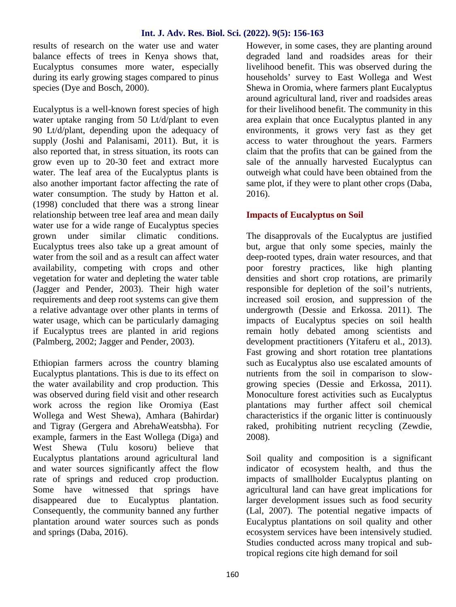#### **Int. J. Adv. Res. Biol. Sci. (2022). 9(5): 156-163**

results of research on the water use and water balance effects of trees in Kenya shows that, Eucalyptus consumes more water, especially during its early growing stages compared to pinus species (Dye and Bosch, 2000).

Eucalyptus is a well-known forest species of high water uptake ranging from 50 Lt/d/plant to even 90 Lt/d/plant, depending upon the adequacy of supply (Joshi and Palanisami, 2011). But, it is also reported that, in stress situation, its roots can grow even up to 20-30 feet and extract more water. The leaf area of the Eucalyptus plants is also another important factor affecting the rate of water consumption. The study by Hatton et al. (1998) concluded that there was a strong linear relationship between tree leaf area and mean daily water use for a wide range of Eucalyptus species grown under similar climatic conditions. Eucalyptus trees also take up a great amount of water from the soil and as a result can affect water availability, competing with crops and other vegetation for water and depleting the water table (Jagger and Pender, 2003). Their high water requirements and deep root systems can give them a relative advantage over other plants in terms of water usage, which can be particularly damaging if Eucalyptus trees are planted in arid regions (Palmberg, 2002; Jagger and Pender, 2003).

Ethiopian farmers across the country blaming Eucalyptus plantations. This is due to its effect on the water availability and crop production. This was observed during field visit and other research work across the region like Oromiya (East Wollega and West Shewa), Amhara (Bahirdar) and Tigray (Gergera and AbrehaWeatsbha). For example, farmers in the East Wollega (Diga) and West Shewa (Tulu kosoru) believe that Eucalyptus plantations around agricultural land and water sources significantly affect the flow rate of springs and reduced crop production. Some have witnessed that springs have disappeared due to Eucalyptus plantation. Consequently, the community banned any further plantation around water sources such as ponds and springs (Daba, 2016).

However, in some cases, they are planting around degraded land and roadsides areas for their livelihood benefit. This was observed during the households' survey to East Wollega and West Shewa in Oromia, where farmers plant Eucalyptus around agricultural land, river and roadsides areas for their livelihood benefit. The community in this area explain that once Eucalyptus planted in any environments, it grows very fast as they get access to water throughout the years. Farmers claim that the profits that can be gained from the sale of the annually harvested Eucalyptus can outweigh what could have been obtained from the same plot, if they were to plant other crops (Daba, 2016).

## **Impacts of Eucalyptus on Soil**

The disapprovals of the Eucalyptus are justified but, argue that only some species, mainly the deep-rooted types, drain water resources, and that poor forestry practices, like high planting densities and short crop rotations, are primarily responsible for depletion of the soil's nutrients, increased soil erosion, and suppression of the undergrowth (Dessie and Erkossa. 2011). The impacts of Eucalyptus species on soil health remain hotly debated among scientists and development practitioners (Yitaferu et al., 2013). Fast growing and short rotation tree plantations such as Eucalyptus also use escalated amounts of nutrients from the soil in comparison to slow growing species (Dessie and Erkossa, 2011). Monoculture forest activities such as Eucalyptus plantations may further affect soil chemical characteristics if the organic litter is continuously raked, prohibiting nutrient recycling (Zewdie, 2008).

Soil quality and composition is a significant indicator of ecosystem health, and thus the impacts of smallholder Eucalyptus planting on agricultural land can have great implications for larger development issues such as food security (Lal, 2007). The potential negative impacts of Eucalyptus plantations on soil quality and other ecosystem services have been intensively studied. Studies conducted across many tropical and subtropical regions cite high demand for soil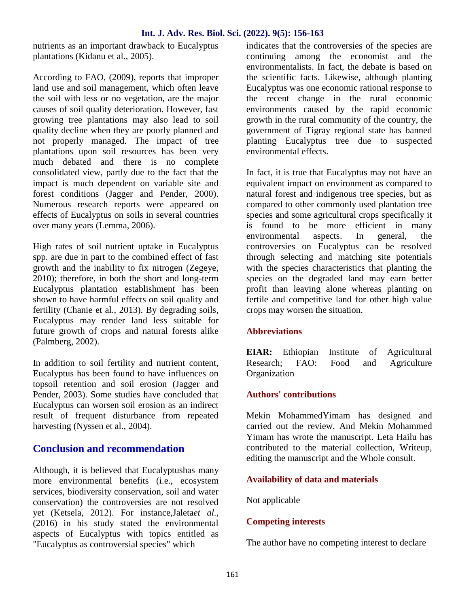#### **Int. J. Adv. Res. Biol. Sci. (2022). 9(5): 156-163**

nutrients as an important drawback to Eucalyptus plantations (Kidanu et al., 2005).

According to FAO, (2009), reports that improper land use and soil management, which often leave the soil with less or no vegetation, are the major causes of soil quality deterioration. However, fast growing tree plantations may also lead to soil quality decline when they are poorly planned and not properly managed. The impact of tree plantations upon soil resources has been very much debated and there is no complete consolidated view, partly due to the fact that the impact is much dependent on variable site and forest conditions (Jagger and Pender, 2000). Numerous research reports were appeared on effects of Eucalyptus on soils in several countries over many years (Lemma, 2006).

High rates of soil nutrient uptake in Eucalyptus spp. are due in part to the combined effect of fast growth and the inability to fix nitrogen (Zegeye, 2010); therefore, in both the short and long-term Eucalyptus plantation establishment has been shown to have harmful effects on soil quality and fertility (Chanie et al., 2013). By degrading soils, Eucalyptus may render land less suitable for future growth of crops and natural forests alike (Palmberg, 2002).

In addition to soil fertility and nutrient content, Eucalyptus has been found to have influences on topsoil retention and soil erosion (Jagger and Pender, 2003). Some studies have concluded that Eucalyptus can worsen soil erosion as an indirect result of frequent disturbance from repeated harvesting (Nyssen et al., 2004).

## **Conclusion and recommendation**

Although, it is believed that Eucalyptushas many more environmental benefits (i.e., ecosystem services, biodiversity conservation, soil and water conservation) the controversies are not resolved yet (Ketsela, 2012). For instance,Jaleta*et al.,* (2016) in his study stated the environmental aspects of Eucalyptus with topics entitled as "Eucalyptus as controversial species" which

indicates that the controversies of the species are continuing among the economist and the environmentalists. In fact, the debate is based on the scientific facts. Likewise, although planting Eucalyptus was one economic rational response to the recent change in the rural economic environments caused by the rapid economic growth in the rural community of the country, the government of Tigray regional state has banned planting Eucalyptus tree due to suspected environmental effects.

In fact, it is true that Eucalyptus may not have an equivalent impact on environment as compared to natural forest and indigenous tree species, but as compared to other commonly used plantation tree species and some agricultural crops specifically it is found to be more efficient in many environmental aspects. In general, the controversies on Eucalyptus can be resolved through selecting and matching site potentials with the species characteristics that planting the species on the degraded land may earn better profit than leaving alone whereas planting on fertile and competitive land for other high value crops may worsen the situation.

## **Abbreviations**

**EIAR:** Ethiopian Institute of Agricultural Research; FAO: Food and Agriculture **Organization** 

## **Authors' contributions**

Mekin MohammedYimam has designed and carried out the review. And Mekin Mohammed Yimam has wrote the manuscript. Leta Hailu has contributed to the material collection, Writeup, editing the manuscript and the Whole consult.

## **Availability of data and materials**

Not applicable

#### **Competing interests**

The author have no competing interest to declare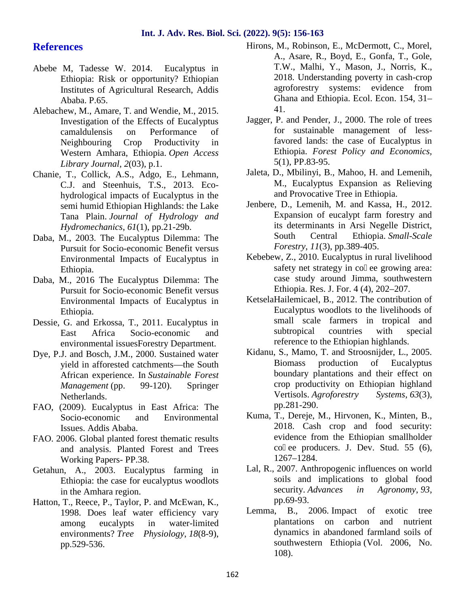## **References**

- Abebe M, Tadesse W. 2014. Eucalyptus in Ethiopia: Risk or opportunity? Ethiopian Institutes of Agricultural Research, Addis Ababa. P.65.
- Alebachew, M., Amare, T. and Wendie, M., 2015. Investigation of the Effects of Eucalyptus camaldulensis on Performance of Neighbouring Crop Productivity in Western Amhara, Ethiopia. *Open Access Library Journal*, *2*(03), p.1.
- Chanie, T., Collick, A.S., Adgo, E., Lehmann, C.J. and Steenhuis, T.S., 2013. Eco hydrological impacts of Eucalyptus in the semi humid Ethiopian Highlands: the Lake Tana Plain. *Journal of Hydrology and Hydromechanics*, *61*(1), pp.21-29b.
- Daba, M., 2003. The Eucalyptus Dilemma: The Pursuit for Socio-economic Benefit versus Environmental Impacts of Eucalyptus in Ethiopia.
- Daba, M., 2016 The Eucalyptus Dilemma: The Pursuit for Socio-economic Benefit versus Environmental Impacts of Eucalyptus in Ethiopia.
- Dessie, G. and Erkossa, T., 2011. Eucalyptus in East Africa Socio-economic and environmental issuesForestry Department.
- Dye, P.J. and Bosch, J.M., 2000. Sustained water yield in afforested catchments—the South African experience. In *Sustainable Forest Management* (pp. 99-120). Springer Netherlands.
- FAO, (2009). Eucalyptus in East Africa: The Socio-economic and Environmental Issues. Addis Ababa.
- FAO. 2006. Global planted forest thematic results and analysis. Planted Forest and Trees Working Papers- PP.38.
- Getahun, A., 2003. Eucalyptus farming in Ethiopia: the case for eucalyptus woodlots in the Amhara region.
- Hatton, T., Reece, P., Taylor, P. and McEwan, K., 1998. Does leaf water efficiency vary among eucalypts in water-limited environments? *Tree Physiology*, *18*(8-9), pp.529-536.
- Hirons, M., Robinson, E., McDermott, C., Morel, A., Asare, R., Boyd, E., Gonfa, T., Gole, T.W., Malhi, Y., Mason, J., Norris, K., 2018. Understanding poverty in cash-crop agroforestry systems: evidence from Ghana and Ethiopia. Ecol. Econ. 154, 31– 41.
- Jagger, P. and Pender, J., 2000. The role of trees for sustainable management of lessfavored lands: the case of Eucalyptus in Ethiopia. *Forest Policy and Economics,* 5(1), PP.83-95.
- Jaleta, D., Mbilinyi, B., Mahoo, H. and Lemenih, M., Eucalyptus Expansion as Relieving and Provocative Tree in Ethiopia.
- Jenbere, D., Lemenih, M. and Kassa, H., 2012. Expansion of eucalypt farm forestry and its determinants in Arsi Negelle District, South Central Ethiopia. *Small-Scale Forestry*, *11*(3), pp.389-405.
- Kebebew, Z., 2010. Eucalyptus in rural livelihood safety net strategy in co ee growing area: case study around Jimma, southwestern Ethiopia. Res. J. For. 4 (4), 202–207.
- KetselaHailemicael, B., 2012. The contribution of Eucalyptus woodlots to the livelihoods of small scale farmers in tropical and subtropical countries with special reference to the Ethiopian highlands.
- Kidanu, S., Mamo, T. and Stroosnijder, L., 2005. Biomass production of Eucalyptus boundary plantations and their effect on crop productivity on Ethiopian highland Vertisols. *Agroforestry Systems*, *63*(3), pp.281-290.
- Kuma, T., Dereje, M., Hirvonen, K., Minten, B., 2018. Cash crop and food security: evidence from the Ethiopian smallholder co ee producers. J. Dev. Stud.  $55 (6)$ , 1267–1284.
- Lal, R., 2007. Anthropogenic influences on world soils and implications to global food security. *Advances in Agronomy*, *93*, pp.69-93.
- Lemma, B., 2006. Impact of exotic tree plantations on carbon and nutrient dynamics in abandoned farmland soils of southwestern Ethiopia (Vol. 2006, No. 108).